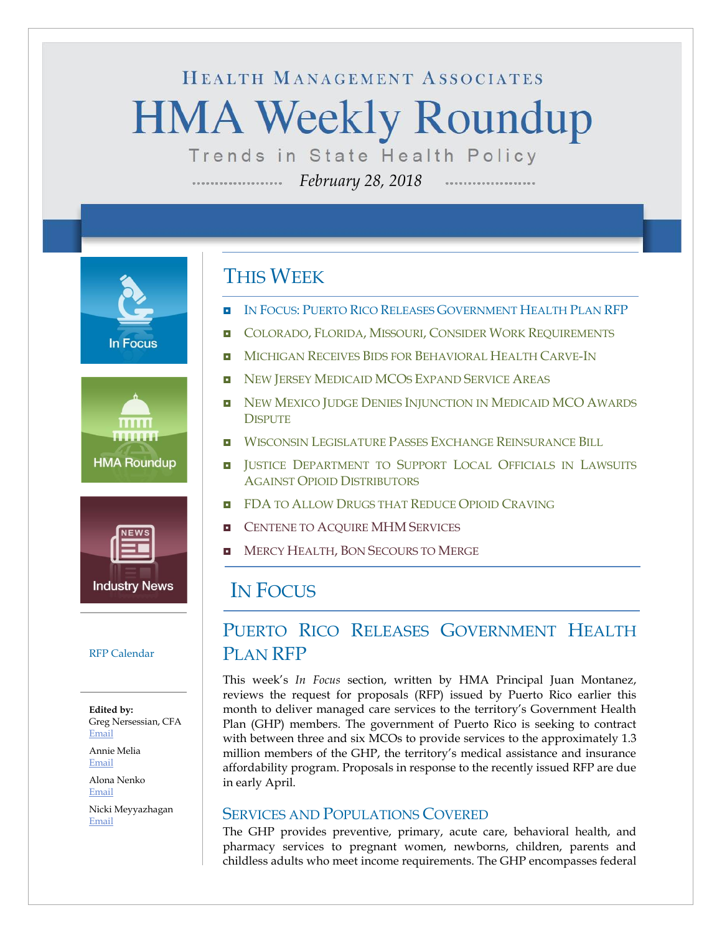# HEALTH MANAGEMENT ASSOCIATES **HMA Weekly Roundup**

Trends in State Health Policy

*February 28, 2018* ....................







#### RFP Calendar

**Edited by:** Greg Nersessian, CFA [Email](mailto:gnersessian@healthmanagement.com)

Annie Melia [Email](mailto:amelia@healthmanagement.com)

Alona Nenko [Email](mailto:anenko@healthmanagement.com)

Nicki Meyyazhagan [Email](mailto:nmeyyazhagan@healthmanagement.com)

### THIS WEEK

- IN FOCUS: PUERTO RICO RELEASES G[OVERNMENT](#page-0-0) HEALTH PLAN RFP
- **COLORADO, FLORIDA, MISSOURI, CONSIDER WORK R[EQUIREMENTS](#page-3-0)**
- **MICHIGAN RECEIVES BIDS FOR B[EHAVIORAL](#page-5-0) HEALTH CARVE-IN**
- NEW JERSEY M[EDICAID](#page-5-1) MCOS EXPAND SERVICE AREAS
- NEW MEXICO JUDGE DENIES I[NJUNCTION IN](#page-7-0) MEDICAID MCO AWARDS **D[ISPUTE](#page-7-0)**
- **NISCONSIN LEGISLATURE PASSES EXCHANGE R[EINSURANCE](#page-10-0) BILL**
- **I** JUSTICE D[EPARTMENT TO](#page-10-1) SUPPORT LOCAL OFFICIALS IN LAWSUITS AGAINST OPIOID D[ISTRIBUTORS](#page-10-1)
- **E** FDA TO ALLOW D[RUGS THAT](#page-10-1) REDUCE OPIOID CRAVING
- **E** C[ENTENE TO](#page-11-0) ACQUIRE MHM SERVICES
- **MERCY HEALTH, BON S[ECOURS TO](#page-11-0) MERGE**

### <span id="page-0-0"></span>IN FOCUS

### PUERTO RICO RELEASES GOVERNMENT HEALTH PLAN RFP

This week's *In Focus* section, written by HMA Principal Juan Montanez, reviews the request for proposals (RFP) issued by Puerto Rico earlier this month to deliver managed care services to the territory's Government Health Plan (GHP) members. The government of Puerto Rico is seeking to contract with between three and six MCOs to provide services to the approximately 1.3 million members of the GHP, the territory's medical assistance and insurance affordability program. Proposals in response to the recently issued RFP are due in early April.

#### SERVICES AND POPULATIONS COVERED

The GHP provides preventive, primary, acute care, behavioral health, and pharmacy services to pregnant women, newborns, children, parents and childless adults who meet income requirements. The GHP encompasses federal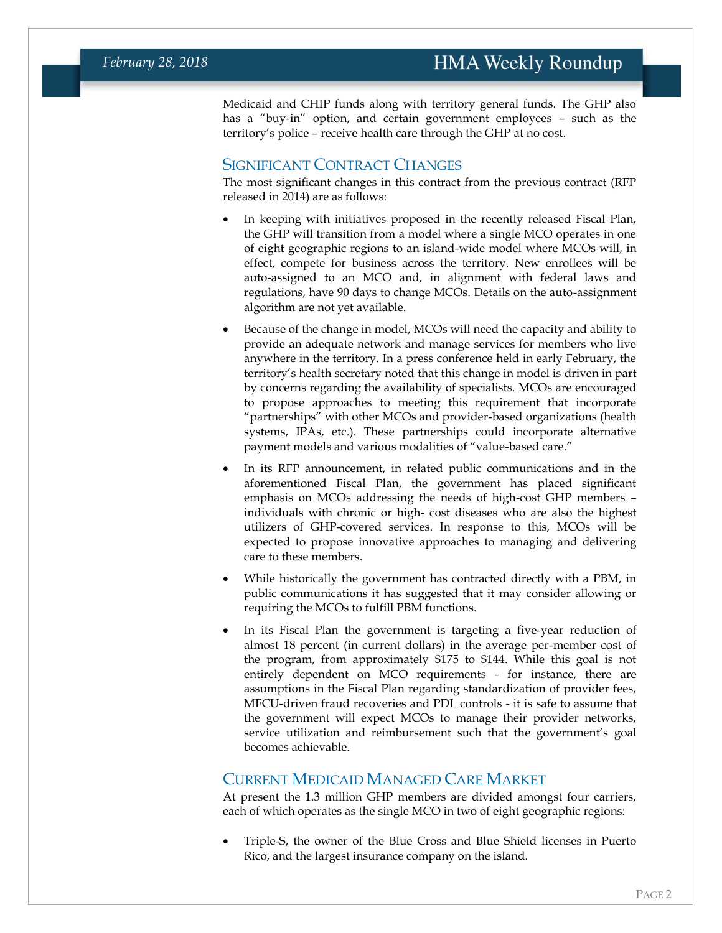Medicaid and CHIP funds along with territory general funds. The GHP also has a "buy-in" option, and certain government employees – such as the territory's police – receive health care through the GHP at no cost.

#### SIGNIFICANT CONTRACT CHANGES

The most significant changes in this contract from the previous contract (RFP released in 2014) are as follows:

- In keeping with initiatives proposed in the recently released Fiscal Plan, the GHP will transition from a model where a single MCO operates in one of eight geographic regions to an island-wide model where MCOs will, in effect, compete for business across the territory. New enrollees will be auto-assigned to an MCO and, in alignment with federal laws and regulations, have 90 days to change MCOs. Details on the auto-assignment algorithm are not yet available.
- Because of the change in model, MCOs will need the capacity and ability to provide an adequate network and manage services for members who live anywhere in the territory. In a press conference held in early February, the territory's health secretary noted that this change in model is driven in part by concerns regarding the availability of specialists. MCOs are encouraged to propose approaches to meeting this requirement that incorporate "partnerships" with other MCOs and provider-based organizations (health systems, IPAs, etc.). These partnerships could incorporate alternative payment models and various modalities of "value-based care."
- In its RFP announcement, in related public communications and in the aforementioned Fiscal Plan, the government has placed significant emphasis on MCOs addressing the needs of high-cost GHP members – individuals with chronic or high- cost diseases who are also the highest utilizers of GHP-covered services. In response to this, MCOs will be expected to propose innovative approaches to managing and delivering care to these members.
- While historically the government has contracted directly with a PBM, in public communications it has suggested that it may consider allowing or requiring the MCOs to fulfill PBM functions.
- In its Fiscal Plan the government is targeting a five-year reduction of almost 18 percent (in current dollars) in the average per-member cost of the program, from approximately \$175 to \$144. While this goal is not entirely dependent on MCO requirements - for instance, there are assumptions in the Fiscal Plan regarding standardization of provider fees, MFCU-driven fraud recoveries and PDL controls - it is safe to assume that the government will expect MCOs to manage their provider networks, service utilization and reimbursement such that the government's goal becomes achievable.

#### CURRENT MEDICAID MANAGED CARE MARKET

At present the 1.3 million GHP members are divided amongst four carriers, each of which operates as the single MCO in two of eight geographic regions:

• Triple-S, the owner of the Blue Cross and Blue Shield licenses in Puerto Rico, and the largest insurance company on the island.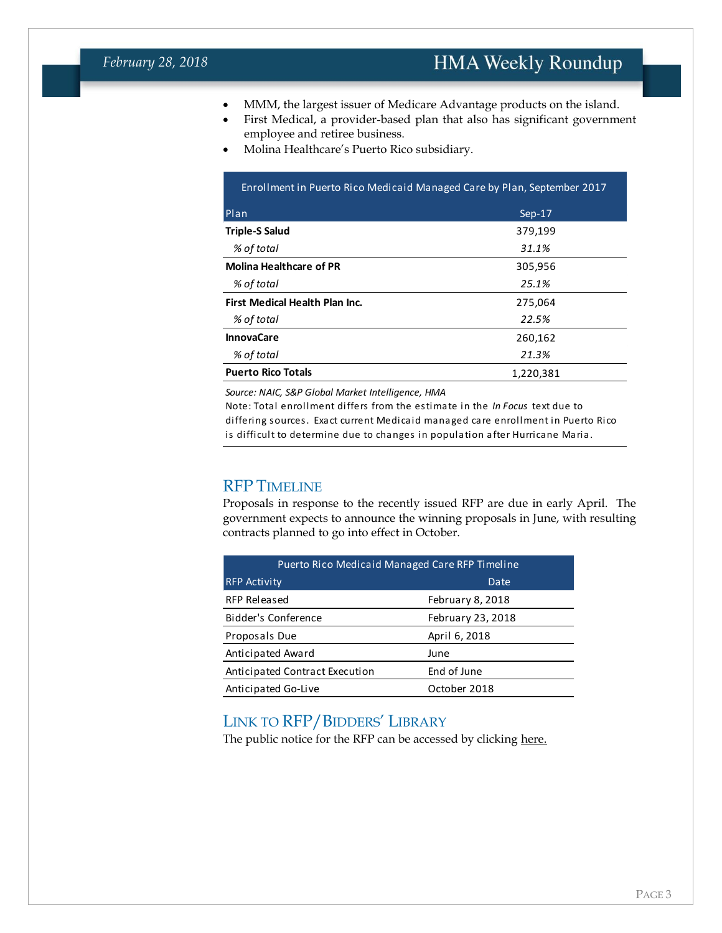- MMM, the largest issuer of Medicare Advantage products on the island.
- First Medical, a provider-based plan that also has significant government employee and retiree business.
- Molina Healthcare's Puerto Rico subsidiary.

| Enrollment in Puerto Rico Medicaid Managed Care by Plan, September 2017 |          |  |  |  |
|-------------------------------------------------------------------------|----------|--|--|--|
| Plan                                                                    | $Sep-17$ |  |  |  |
| <b>Triple-S Salud</b>                                                   | 379,199  |  |  |  |
| % of total                                                              | 31.1%    |  |  |  |
| <b>Molina Healthcare of PR</b>                                          | 305,956  |  |  |  |
| % of total                                                              | 25.1%    |  |  |  |
| First Medical Health Plan Inc.                                          | 275,064  |  |  |  |
| % of total                                                              | 22.5%    |  |  |  |
| <b>InnovaCare</b>                                                       | 260,162  |  |  |  |
| % of total                                                              | 21.3%    |  |  |  |
| <b>Puerto Rico Totals</b><br>1,220,381                                  |          |  |  |  |

*Source: NAIC, S&P Global Market Intelligence, HMA* 

Note: Total enrollment differs from the estimate in the *In Focus* text due to differing sources. Exact current Medicaid managed care enrollment in Puerto Rico is difficult to determine due to changes in population after Hurricane Maria.

#### RFP TIMELINE

Proposals in response to the recently issued RFP are due in early April. The government expects to announce the winning proposals in June, with resulting contracts planned to go into effect in October.

| Puerto Rico Medicaid Managed Care RFP Timeline |                   |  |  |
|------------------------------------------------|-------------------|--|--|
| <b>RFP Activity</b>                            | Date              |  |  |
| RFP Released                                   | February 8, 2018  |  |  |
| Bidder's Conference                            | February 23, 2018 |  |  |
| Proposals Due                                  | April 6, 2018     |  |  |
| Anticipated Award                              | June              |  |  |
| Anticipated Contract Execution                 | End of June       |  |  |
| Anticipated Go-Live                            | October 2018      |  |  |

#### LINK TO RFP/BIDDERS' LIBRARY

The public notice for the RFP can be accessed by clicking [here.](http://www.asespr.org/wp-content/uploads/2018/02/Public-Notice-RFP.pdf)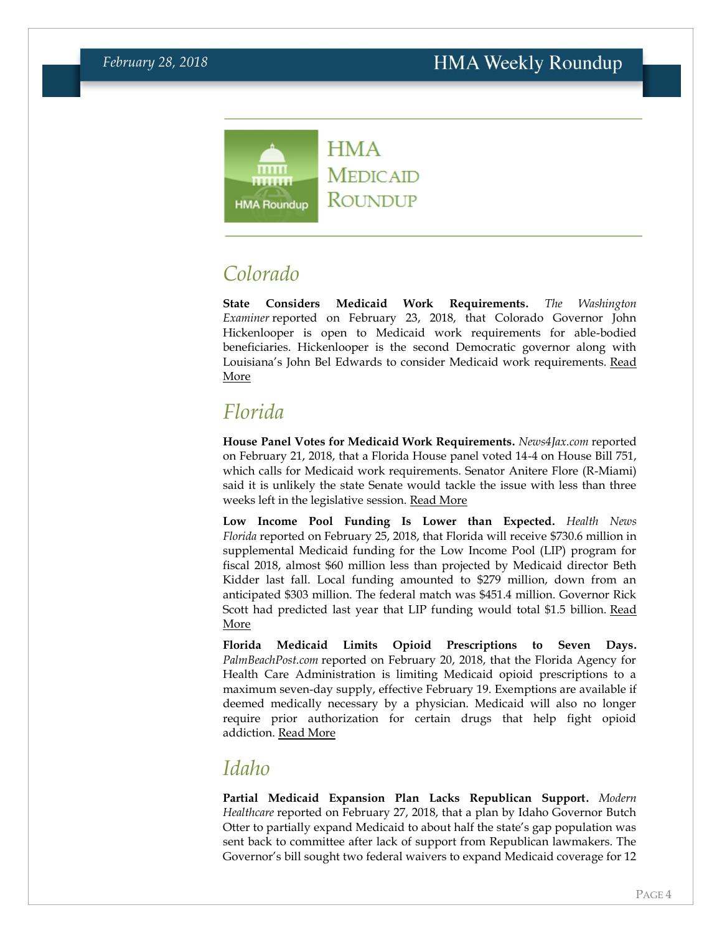

# <span id="page-3-0"></span>*Colorado*

**State Considers Medicaid Work Requirements.** *The Washington Examiner* reported on February 23, 2018, that Colorado Governor John Hickenlooper is open to Medicaid work requirements for able-bodied beneficiaries. Hickenlooper is the second Democratic governor along with Louisiana's John Bel Edwards to consider Medicaid work requirements. Read [More](http://www.washingtonexaminer.com/colorados-democratic-governor-open-to-medicaid-work-rules/article/2649879)

# *Florida*

**House Panel Votes for Medicaid Work Requirements.** *News4Jax.com* reported on February 21, 2018, that a Florida House panel voted 14-4 on House Bill 751, which calls for Medicaid work requirements. Senator Anitere Flore (R-Miami) said it is unlikely the state Senate would tackle the issue with less than three weeks left in the legislative session. [Read More](https://www.news4jax.com/news/house-eyes-work-requirement-in-medicaid)

**Low Income Pool Funding Is Lower than Expected.** *Health News Florida* reported on February 25, 2018, that Florida will receive \$730.6 million in supplemental Medicaid funding for the Low Income Pool (LIP) program for fiscal 2018, almost \$60 million less than projected by Medicaid director Beth Kidder last fall. Local funding amounted to \$279 million, down from an anticipated \$303 million. The federal match was \$451.4 million. Governor Rick Scott had predicted last year that LIP funding would total \$1.5 billion. [Read](http://health.wusf.usf.edu/post/health-program-money-wont-hit-projections#stream/0)  [More](http://health.wusf.usf.edu/post/health-program-money-wont-hit-projections#stream/0)

**Florida Medicaid Limits Opioid Prescriptions to Seven Days.**  *PalmBeachPost.com* reported on February 20, 2018, that the Florida Agency for Health Care Administration is limiting Medicaid opioid prescriptions to a maximum seven-day supply, effective February 19. Exemptions are available if deemed medically necessary by a physician. Medicaid will also no longer require prior authorization for certain drugs that help fight opioid addiction. [Read More](http://www.palmbeachpost.com/news/state--regional-govt--politics/florida-medicaid-program-limits-opioid-prescriptions/xaRsMNmfOBpGs7574oRpdN/)

### *Idaho*

**Partial Medicaid Expansion Plan Lacks Republican Support.** *Modern Healthcare* reported on February 27, 2018, that a plan by Idaho Governor Butch Otter to partially expand Medicaid to about half the state's gap population was sent back to committee after lack of support from Republican lawmakers. The Governor's bill sought two federal waivers to expand Medicaid coverage for 12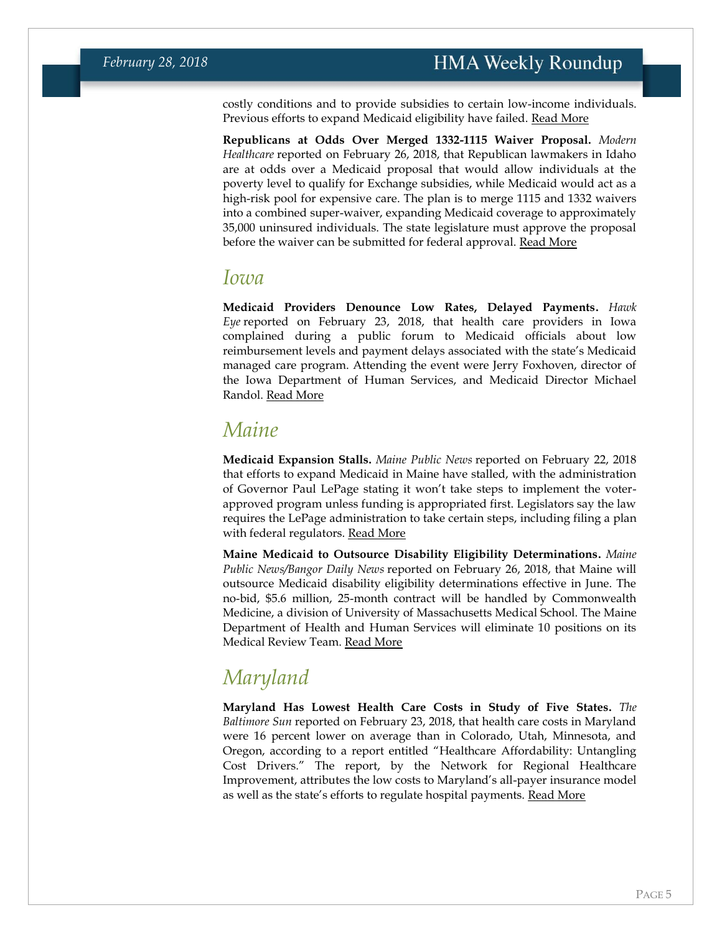costly conditions and to provide subsidies to certain low-income individuals. Previous efforts to expand Medicaid eligibility have failed. [Read More](http://www.modernhealthcare.com/article/20180227/NEWS/180229927)

**Republicans at Odds Over Merged 1332-1115 Waiver Proposal.** *Modern Healthcare* reported on February 26, 2018, that Republican lawmakers in Idaho are at odds over a Medicaid proposal that would allow individuals at the poverty level to qualify for Exchange subsidies, while Medicaid would act as a high-risk pool for expensive care. The plan is to merge 1115 and 1332 waivers into a combined super-waiver, expanding Medicaid coverage to approximately 35,000 uninsured individuals. The state legislature must approve the proposal before the waiver can be submitted for federal approval. [Read More](http://www.modernhealthcare.com/article/20180226/NEWS/180229932)

#### *Iowa*

**Medicaid Providers Denounce Low Rates, Delayed Payments.** *Hawk Eye* reported on February 23, 2018, that health care providers in Iowa complained during a public forum to Medicaid officials about low reimbursement levels and payment delays associated with the state's Medicaid managed care program. Attending the event were Jerry Foxhoven, director of the Iowa Department of Human Services, and Medicaid Director Michael Randol. [Read More](http://www.thehawkeye.com/news/20180223/health-care-providers-warn-medicaid-director-of-impending-crisis)

### *Maine*

**Medicaid Expansion Stalls.** *Maine Public News* reported on February 22, 2018 that efforts to expand Medicaid in Maine have stalled, with the administration of Governor Paul LePage stating it won't take steps to implement the voterapproved program unless funding is appropriated first. Legislators say the law requires the LePage administration to take certain steps, including filing a plan with federal regulators. [Read More](http://mainepublic.org/post/medicaid-expansion-slowed-lepage-administration)

**Maine Medicaid to Outsource Disability Eligibility Determinations.** *Maine Public News/Bangor Daily News* reported on February 26, 2018, that Maine will outsource Medicaid disability eligibility determinations effective in June. The no-bid, \$5.6 million, 25-month contract will be handled by Commonwealth Medicine, a division of University of Massachusetts Medical School. The Maine Department of Health and Human Services will eliminate 10 positions on its Medical Review Team. [Read More](http://mainepublic.org/post/lepage-will-outsource-medicaid-staff-even-though-it-will-cost-state-more)

# *Maryland*

**Maryland Has Lowest Health Care Costs in Study of Five States.** *The Baltimore Sun* reported on February 23, 2018, that health care costs in Maryland were 16 percent lower on average than in Colorado, Utah, Minnesota, and Oregon, according to a report entitled "Healthcare Affordability: Untangling Cost Drivers." The report, by the Network for Regional Healthcare Improvement, attributes the low costs to Maryland's all-payer insurance model as well as the state's efforts to regulate hospital payments. [Read More](http://www.baltimoresun.com/news/maryland/investigations/bs-md-sun-investigates-health-costs-20180215-story.html)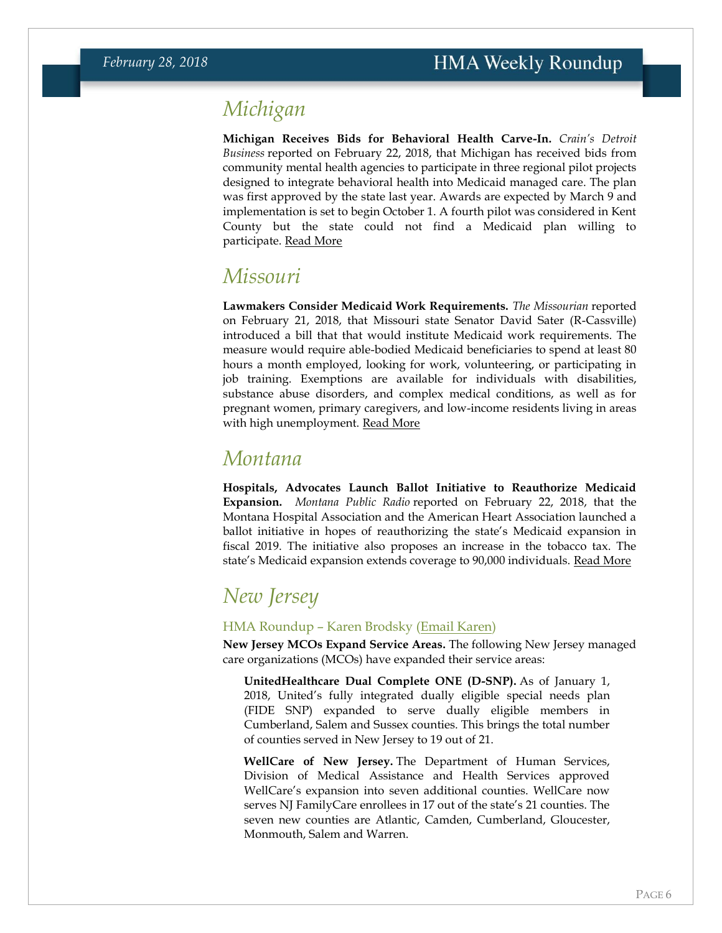### <span id="page-5-0"></span>*Michigan*

**Michigan Receives Bids for Behavioral Health Carve-In.** *Crain's Detroit Business* reported on February 22, 2018, that Michigan has received bids from community mental health agencies to participate in three regional pilot projects designed to integrate behavioral health into Medicaid managed care. The plan was first approved by the state last year. Awards are expected by March 9 and implementation is set to begin October 1. A fourth pilot was considered in Kent County but the state could not find a Medicaid plan willing to participate. [Read More](http://www.crainsdetroit.com/article/20180222/news/653616/michigan-accepts-bids-for-mental-health-integration-test-projects)

### *Missouri*

**Lawmakers Consider Medicaid Work Requirements.** *The Missourian* reported on February 21, 2018, that Missouri state Senator David Sater (R-Cassville) introduced a bill that that would institute Medicaid work requirements. The measure would require able-bodied Medicaid beneficiaries to spend at least 80 hours a month employed, looking for work, volunteering, or participating in job training. Exemptions are available for individuals with disabilities, substance abuse disorders, and complex medical conditions, as well as for pregnant women, primary caregivers, and low-income residents living in areas with high unemployment. [Read More](https://www.columbiamissourian.com/news/state_news/following-indiana-and-kentucky-s-lead-missouri-looks-at-medicaid/article_e3932782-1742-11e8-8aa4-cb7c1e38e8f6.html)

### *Montana*

**Hospitals, Advocates Launch Ballot Initiative to Reauthorize Medicaid Expansion.** *Montana Public Radio* reported on February 22, 2018, that the Montana Hospital Association and the American Heart Association launched a ballot initiative in hopes of reauthorizing the state's Medicaid expansion in fiscal 2019. The initiative also proposes an increase in the tobacco tax. The state's Medicaid expansion extends coverage to 90,000 individuals. [Read More](http://mtpr.org/post/ballot-initiative-would-re-authorize-montana-medicaid-expansion)

## <span id="page-5-1"></span>*New Jersey*

#### HMA Roundup – Karen Brodsky [\(Email Karen\)](mailto:kbrodsky@healthmanagement.com)

**New Jersey MCOs Expand Service Areas.** The following New Jersey managed care organizations (MCOs) have expanded their service areas:

**UnitedHealthcare Dual Complete ONE (D-SNP).** As of January 1, 2018, United's fully integrated dually eligible special needs plan (FIDE SNP) expanded to serve dually eligible members in Cumberland, Salem and Sussex counties. This brings the total number of counties served in New Jersey to 19 out of 21.

**WellCare of New Jersey.** The Department of Human Services, Division of Medical Assistance and Health Services approved WellCare's expansion into seven additional counties. WellCare now serves NJ FamilyCare enrollees in 17 out of the state's 21 counties. The seven new counties are Atlantic, Camden, Cumberland, Gloucester, Monmouth, Salem and Warren.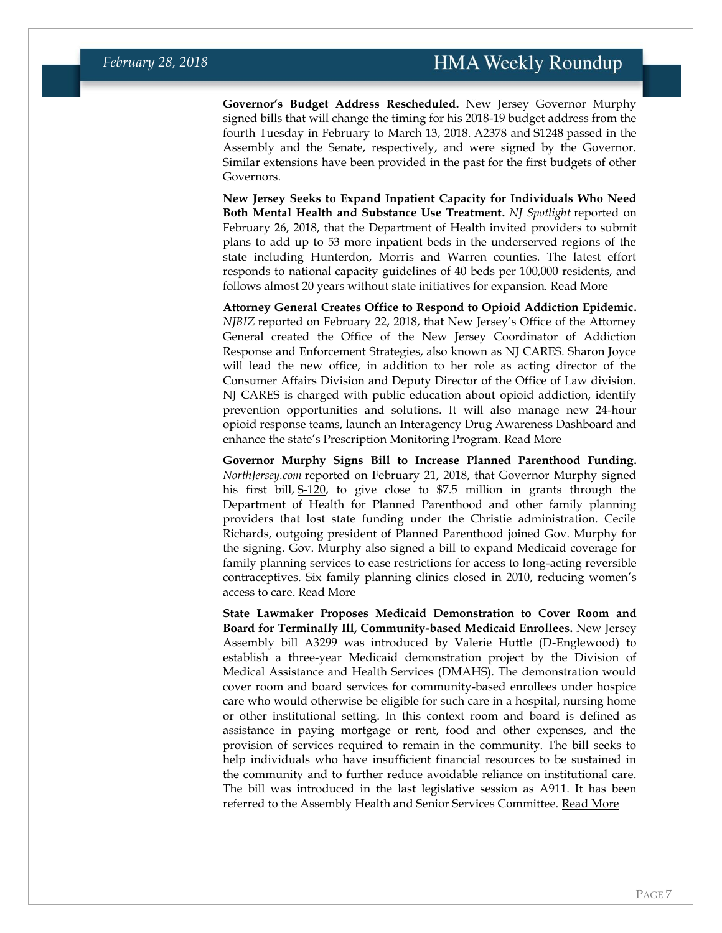**Governor's Budget Address Rescheduled.** New Jersey Governor Murphy signed bills that will change the timing for his 2018-19 budget address from the fourth Tuesday in February to March 13, 2018. [A2378](http://www.njleg.state.nj.us/2018/Bills/A2500/2378_I1.PDF) and [S1248](http://www.njleg.state.nj.us/2018/Bills/S1500/1248_S1.PDF) passed in the Assembly and the Senate, respectively, and were signed by the Governor. Similar extensions have been provided in the past for the first budgets of other Governors.

**New Jersey Seeks to Expand Inpatient Capacity for Individuals Who Need Both Mental Health and Substance Use Treatment.** *NJ Spotlight* reported on February 26, 2018, that the Department of Health invited providers to submit plans to add up to 53 more inpatient beds in the underserved regions of the state including Hunterdon, Morris and Warren counties. The latest effort responds to national capacity guidelines of 40 beds per 100,000 residents, and follows almost 20 years without state initiatives for expansion. [Read More](http://www.njspotlight.com/stories/18/02/25/state-calls-for-dozens-of-new-inpatient-treatment-beds/)

**Attorney General Creates Office to Respond to Opioid Addiction Epidemic.**  *NJBIZ* reported on February 22, 2018, that New Jersey's Office of the Attorney General created the Office of the New Jersey Coordinator of Addiction Response and Enforcement Strategies, also known as NJ CARES. Sharon Joyce will lead the new office, in addition to her role as acting director of the Consumer Affairs Division and Deputy Director of the Office of Law division. NJ CARES is charged with public education about opioid addiction, identify prevention opportunities and solutions. It will also manage new 24-hour opioid response teams, launch an Interagency Drug Awareness Dashboard and enhance the state's Prescription Monitoring Program. [Read More](http://www.njbiz.com/article/20180222/NJBIZ01/180229948/nj-attorney-general-creates-office-to-deal-with-opioid-crisis)

**Governor Murphy Signs Bill to Increase Planned Parenthood Funding.**  *NorthJersey.com* reported on February 21, 2018, that Governor Murphy signed his first bill, [S-120,](http://www.njleg.state.nj.us/2018/Bills/S0500/120_T1.HTM) to give close to \$7.5 million in grants through the Department of Health for Planned Parenthood and other family planning providers that lost state funding under the Christie administration. Cecile Richards, outgoing president of Planned Parenthood joined Gov. Murphy for the signing. Gov. Murphy also signed a bill to expand Medicaid coverage for family planning services to ease restrictions for access to long-acting reversible contraceptives. Six family planning clinics closed in 2010, reducing women's access to care. **[Read More](https://www.northjersey.com/story/news/new-jersey/governor/2018/02/21/murphy-boosts-funding-womens-health-care-first-bill-signing-governor/359612002/)** 

**State Lawmaker Proposes Medicaid Demonstration to Cover Room and Board for Terminally Ill, Community-based Medicaid Enrollees.** New Jersey Assembly bill A3299 was introduced by Valerie Huttle (D-Englewood) to establish a three-year Medicaid demonstration project by the Division of Medical Assistance and Health Services (DMAHS). The demonstration would cover room and board services for community-based enrollees under hospice care who would otherwise be eligible for such care in a hospital, nursing home or other institutional setting. In this context room and board is defined as assistance in paying mortgage or rent, food and other expenses, and the provision of services required to remain in the community. The bill seeks to help individuals who have insufficient financial resources to be sustained in the community and to further reduce avoidable reliance on institutional care. The bill was introduced in the last legislative session as A911. It has been referred to the Assembly Health and Senior Services Committee. [Read More](http://www.njleg.state.nj.us/2018/Bills/A3500/3299_I1.PDF)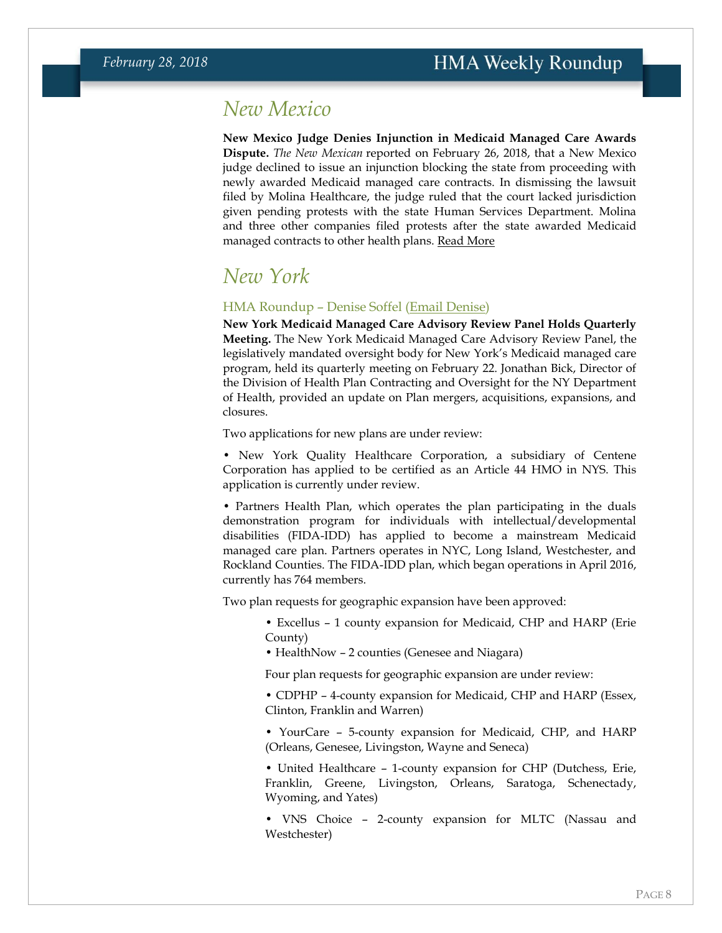### <span id="page-7-0"></span>*New Mexico*

**New Mexico Judge Denies Injunction in Medicaid Managed Care Awards Dispute.** *The New Mexican* reported on February 26, 2018, that a New Mexico judge declined to issue an injunction blocking the state from proceeding with newly awarded Medicaid managed care contracts. In dismissing the lawsuit filed by Molina Healthcare, the judge ruled that the court lacked jurisdiction given pending protests with the state Human Services Department. Molina and three other companies filed protests after the state awarded Medicaid managed contracts to other health plans. [Read More](http://www.santafenewmexican.com/news/local_news/judge-dismisses-molina-lawsuit-challenging-medicaid-contracts/article_24c56373-d1fc-5743-8f04-090c06a542d2.html)

### *New York*

#### HMA Roundup – Denise Soffel [\(Email Denise\)](mailto:dsoffel@healthmanagement.com)

**New York Medicaid Managed Care Advisory Review Panel Holds Quarterly Meeting.** The New York Medicaid Managed Care Advisory Review Panel, the legislatively mandated oversight body for New York's Medicaid managed care program, held its quarterly meeting on February 22. Jonathan Bick, Director of the Division of Health Plan Contracting and Oversight for the NY Department of Health, provided an update on Plan mergers, acquisitions, expansions, and closures.

Two applications for new plans are under review:

• New York Quality Healthcare Corporation, a subsidiary of Centene Corporation has applied to be certified as an Article 44 HMO in NYS. This application is currently under review.

• Partners Health Plan, which operates the plan participating in the duals demonstration program for individuals with intellectual/developmental disabilities (FIDA-IDD) has applied to become a mainstream Medicaid managed care plan. Partners operates in NYC, Long Island, Westchester, and Rockland Counties. The FIDA-IDD plan, which began operations in April 2016, currently has 764 members.

Two plan requests for geographic expansion have been approved:

• Excellus – 1 county expansion for Medicaid, CHP and HARP (Erie County)

• HealthNow – 2 counties (Genesee and Niagara)

Four plan requests for geographic expansion are under review:

• CDPHP – 4-county expansion for Medicaid, CHP and HARP (Essex, Clinton, Franklin and Warren)

• YourCare – 5-county expansion for Medicaid, CHP, and HARP (Orleans, Genesee, Livingston, Wayne and Seneca)

• United Healthcare – 1-county expansion for CHP (Dutchess, Erie, Franklin, Greene, Livingston, Orleans, Saratoga, Schenectady, Wyoming, and Yates)

• VNS Choice – 2-county expansion for MLTC (Nassau and Westchester)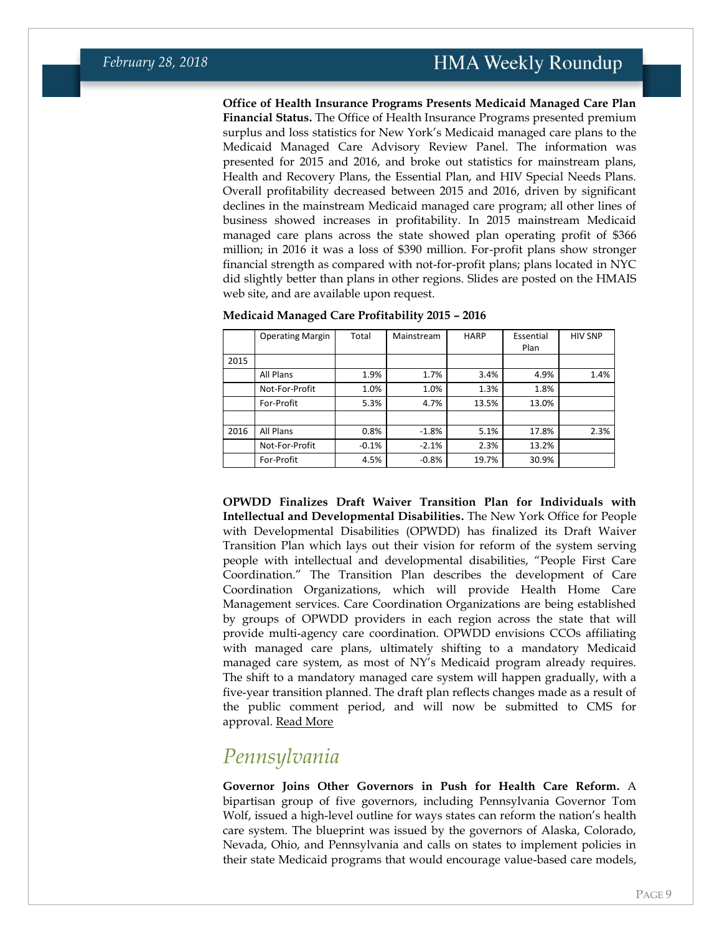**Office of Health Insurance Programs Presents Medicaid Managed Care Plan Financial Status.** The Office of Health Insurance Programs presented premium surplus and loss statistics for New York's Medicaid managed care plans to the Medicaid Managed Care Advisory Review Panel. The information was presented for 2015 and 2016, and broke out statistics for mainstream plans, Health and Recovery Plans, the Essential Plan, and HIV Special Needs Plans. Overall profitability decreased between 2015 and 2016, driven by significant declines in the mainstream Medicaid managed care program; all other lines of business showed increases in profitability. In 2015 mainstream Medicaid managed care plans across the state showed plan operating profit of \$366 million; in 2016 it was a loss of \$390 million. For-profit plans show stronger financial strength as compared with not-for-profit plans; plans located in NYC did slightly better than plans in other regions. Slides are posted on the HMAIS web site, and are available upon request.

|      | <b>Operating Margin</b> | Total   | Mainstream | <b>HARP</b> | Essential | <b>HIV SNP</b> |
|------|-------------------------|---------|------------|-------------|-----------|----------------|
|      |                         |         |            |             | Plan      |                |
| 2015 |                         |         |            |             |           |                |
|      | All Plans               | 1.9%    | 1.7%       | 3.4%        | 4.9%      | 1.4%           |
|      | Not-For-Profit          | 1.0%    | 1.0%       | 1.3%        | 1.8%      |                |
|      | For-Profit              | 5.3%    | 4.7%       | 13.5%       | 13.0%     |                |
|      |                         |         |            |             |           |                |
| 2016 | All Plans               | 0.8%    | $-1.8%$    | 5.1%        | 17.8%     | 2.3%           |
|      | Not-For-Profit          | $-0.1%$ | $-2.1%$    | 2.3%        | 13.2%     |                |
|      | For-Profit              | 4.5%    | $-0.8%$    | 19.7%       | 30.9%     |                |

|  | Medicaid Managed Care Profitability 2015 - 2016 |  |  |  |  |  |
|--|-------------------------------------------------|--|--|--|--|--|
|--|-------------------------------------------------|--|--|--|--|--|

**OPWDD Finalizes Draft Waiver Transition Plan for Individuals with Intellectual and Developmental Disabilities.** The New York Office for People with Developmental Disabilities (OPWDD) has finalized its Draft Waiver Transition Plan which lays out their vision for reform of the system serving people with intellectual and developmental disabilities, "People First Care Coordination." The Transition Plan describes the development of Care Coordination Organizations, which will provide Health Home Care Management services. Care Coordination Organizations are being established by groups of OPWDD providers in each region across the state that will provide multi-agency care coordination. OPWDD envisions CCOs affiliating with managed care plans, ultimately shifting to a mandatory Medicaid managed care system, as most of NY's Medicaid program already requires. The shift to a mandatory managed care system will happen gradually, with a five-year transition planned. The draft plan reflects changes made as a result of the public comment period, and will now be submitted to CMS for approval. [Read More](https://www.health.ny.gov/health_care/medicaid/program/medicaid_health_homes/idd/draft_idd_1115_waiver.htm)

### *Pennsylvania*

**Governor Joins Other Governors in Push for Health Care Reform.** A bipartisan group of five governors, including Pennsylvania Governor Tom Wolf, issued a high-level outline for ways states can reform the nation's health care system. The blueprint was issued by the governors of Alaska, Colorado, Nevada, Ohio, and Pennsylvania and calls on states to implement policies in their state Medicaid programs that would encourage value-based care models,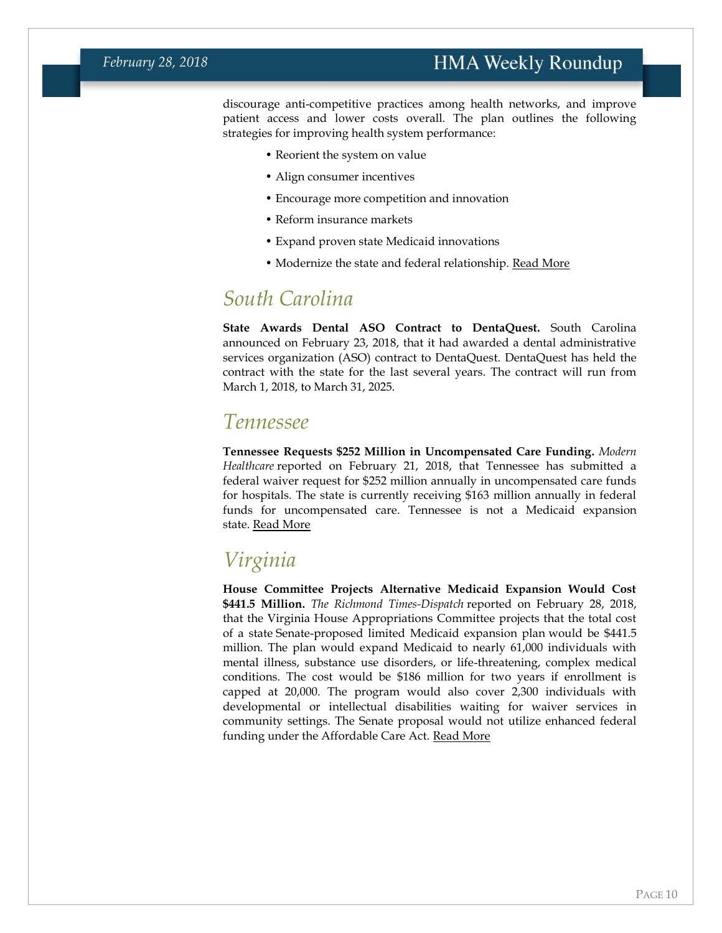### **HMA Weekly Roundup**

discourage anti-competitive practices among health networks, and improve patient access and lower costs overall. The plan outlines the following strategies for improving health system performance:

- Reorient the system on value • Align consumer incentives
- Encourage more competition and innovation
- Reform insurance markets
- Expand proven state Medicaid innovations
- Modernize the state and federal relationship. [Read More](https://www.governor.pa.gov/governor-wolf-bipartisan-governors-issue-blueprint-improve-nations-health-care-system/)

### *South Carolina*

**State Awards Dental ASO Contract to DentaQuest.** South Carolina announced on February 23, 2018, that it had awarded a dental administrative services organization (ASO) contract to DentaQuest. DentaQuest has held the contract with the state for the last several years. The contract will run from March 1, 2018, to March 31, 2025.

### *Tennessee*

**Tennessee Requests \$252 Million in Uncompensated Care Funding.** *Modern Healthcare* reported on February 21, 2018, that Tennessee has submitted a federal waiver request for \$252 million annually in uncompensated care funds for hospitals. The state is currently receiving \$163 million annually in federal funds for uncompensated care. Tennessee is not a Medicaid expansion state. [Read More](http://www.modernhealthcare.com/article/20180221/NEWS/180229978)

### *Virginia*

**House Committee Projects Alternative Medicaid Expansion Would Cost \$441.5 Million.** *The Richmond Times-Dispatch* reported on February 28, 2018, that the Virginia House Appropriations Committee projects that the total cost of a state Senate-proposed limited Medicaid expansion plan would be \$441.5 million. The plan would expand Medicaid to nearly 61,000 individuals with mental illness, substance use disorders, or life-threatening, complex medical conditions. The cost would be \$186 million for two years if enrollment is capped at 20,000. The program would also cover 2,300 individuals with developmental or intellectual disabilities waiting for waiver services in community settings. The Senate proposal would not utilize enhanced federal funding under the Affordable Care Act. [Read More](http://www.richmond.com/news/virginia/government-politics/general-assembly/battle-of-virginia-s-budgets-intensifies-as-house-committee-takes/article_2857b325-4555-5931-bd9a-969509ac32b8.html)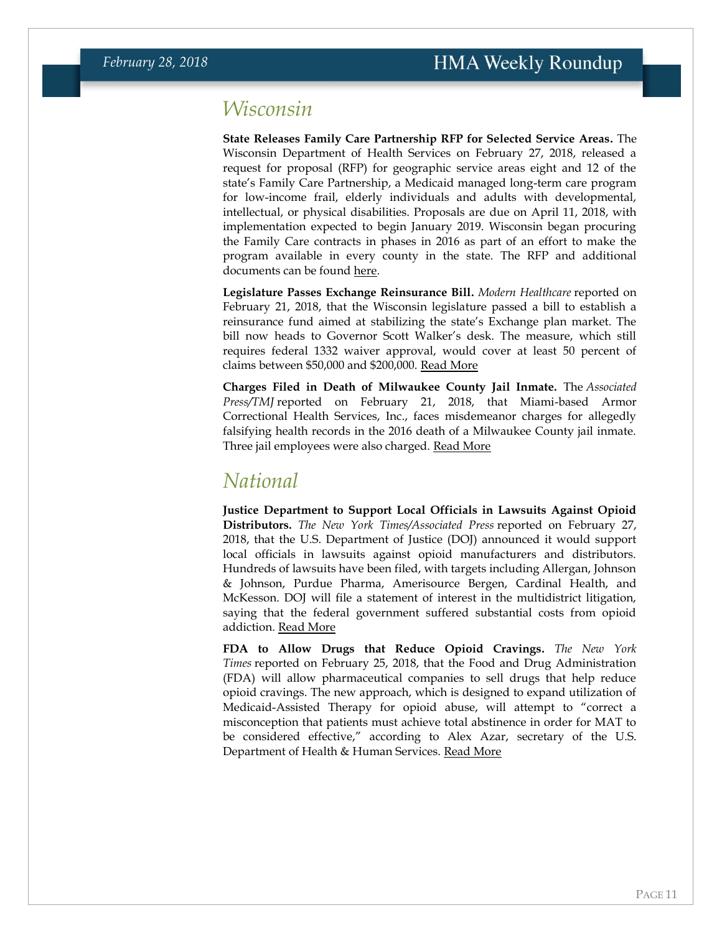### <span id="page-10-0"></span>*Wisconsin*

**State Releases Family Care Partnership RFP for Selected Service Areas.** The Wisconsin Department of Health Services on February 27, 2018, released a request for proposal (RFP) for geographic service areas eight and 12 of the state's Family Care Partnership, a Medicaid managed long-term care program for low-income frail, elderly individuals and adults with developmental, intellectual, or physical disabilities. Proposals are due on April 11, 2018, with implementation expected to begin January 2019. Wisconsin began procuring the Family Care contracts in phases in 2016 as part of an effort to make the program available in every county in the state. The RFP and additional documents can be found [here.](https://vendornet.wi.gov/Bid.aspx?Id=00000000-0000-0000-0000-000000000000&name=10224)

**Legislature Passes Exchange Reinsurance Bill.** *Modern Healthcare* reported on February 21, 2018, that the Wisconsin legislature passed a bill to establish a reinsurance fund aimed at stabilizing the state's Exchange plan market. The bill now heads to Governor Scott Walker's desk. The measure, which still requires federal 1332 waiver approval, would cover at least 50 percent of claims between \$50,000 and \$200,000. [Read More](http://www.modernhealthcare.com/article/20180221/NEWS/180229983)

**Charges Filed in Death of Milwaukee County Jail Inmate.** The *Associated Press/TMJ* reported on February 21, 2018, that Miami-based Armor Correctional Health Services, Inc., faces misdemeanor charges for allegedly falsifying health records in the 2016 death of a Milwaukee County jail inmate. Three jail employees were also charged. [Read More](https://www.tmj4.com/news/local-news/prosecutors-charge-health-company-in-milwaukee-jail-death)

### <span id="page-10-1"></span>*National*

**Justice Department to Support Local Officials in Lawsuits Against Opioid Distributors.** *The New York Times/Associated Press* reported on February 27, 2018, that the U.S. Department of Justice (DOJ) announced it would support local officials in lawsuits against opioid manufacturers and distributors. Hundreds of lawsuits have been filed, with targets including Allergan, Johnson & Johnson, Purdue Pharma, Amerisource Bergen, Cardinal Health, and McKesson. DOJ will file a statement of interest in the multidistrict litigation, saying that the federal government suffered substantial costs from opioid addiction. [Read More](https://www.nytimes.com/aponline/2018/02/27/us/politics/ap-us-justice-opioids.html)

**FDA to Allow Drugs that Reduce Opioid Cravings.** *The New York Times* reported on February 25, 2018, that the Food and Drug Administration (FDA) will allow pharmaceutical companies to sell drugs that help reduce opioid cravings. The new approach, which is designed to expand utilization of Medicaid-Assisted Therapy for opioid abuse, will attempt to "correct a misconception that patients must achieve total abstinence in order for MAT to be considered effective," according to Alex Azar, secretary of the U.S. Department of Health & Human Services. [Read More](https://www.nytimes.com/2018/02/25/science/fda-medication-assisted-therapy.html)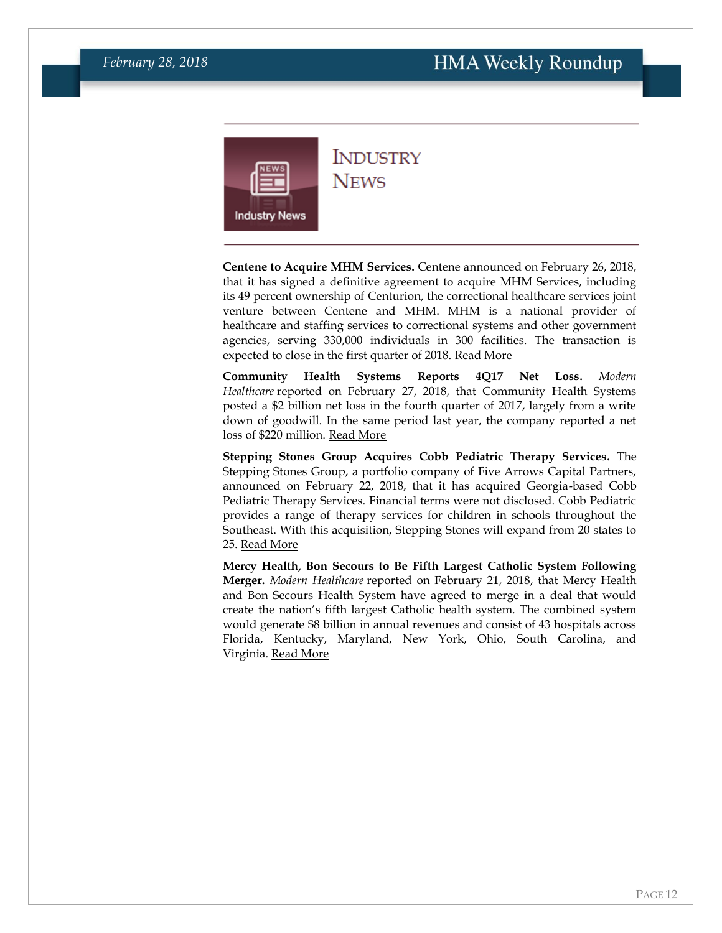<span id="page-11-0"></span>

### **INDUSTRY NEWS**

**Centene to Acquire MHM Services.** Centene announced on February 26, 2018, that it has signed a definitive agreement to acquire MHM Services, including its 49 percent ownership of Centurion, the correctional healthcare services joint venture between Centene and MHM. MHM is a national provider of healthcare and staffing services to correctional systems and other government agencies, serving 330,000 individuals in 300 facilities. The transaction is expected to close in the first quarter of 2018. [Read More](https://centene.gcs-web.com/news-releases/news-release-details/centene-acquire-mhm-services-expand-national-footprint)

**Community Health Systems Reports 4Q17 Net Loss.** *Modern Healthcare* reported on February 27, 2018, that Community Health Systems posted a \$2 billion net loss in the fourth quarter of 2017, largely from a write down of goodwill. In the same period last year, the company reported a net loss of \$220 million. [Read More](http://www.modernhealthcare.com/article/20180227/NEWS/180229923)

**Stepping Stones Group Acquires Cobb Pediatric Therapy Services.** The Stepping Stones Group, a portfolio company of Five Arrows Capital Partners, announced on February 22, 2018, that it has acquired Georgia-based Cobb Pediatric Therapy Services. Financial terms were not disclosed. Cobb Pediatric provides a range of therapy services for children in schools throughout the Southeast. With this acquisition, Stepping Stones will expand from 20 states to 25. [Read More](https://www.businesswire.com/news/home/20180222005777/en/Stepping-Stones-Group-Acquires-Cobb-Pediatric-Therapy)

**Mercy Health, Bon Secours to Be Fifth Largest Catholic System Following Merger.** *Modern Healthcare* reported on February 21, 2018, that Mercy Health and Bon Secours Health System have agreed to merge in a deal that would create the nation's fifth largest Catholic health system. The combined system would generate \$8 billion in annual revenues and consist of 43 hospitals across Florida, Kentucky, Maryland, New York, Ohio, South Carolina, and Virginia. [Read More](http://www.modernhealthcare.com/article/20180221/NEWS/180229982)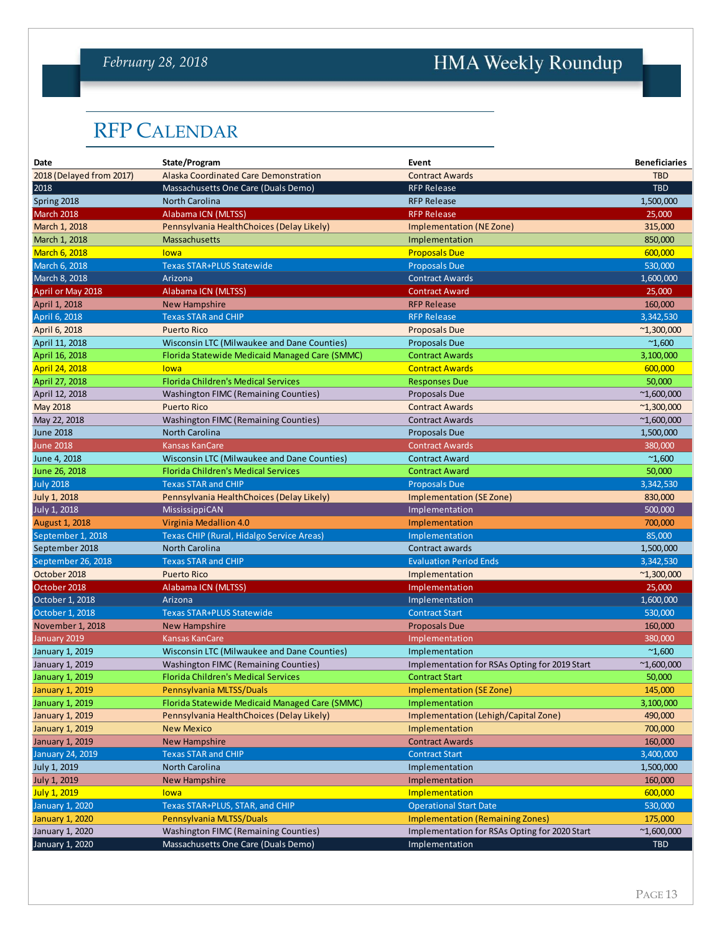### *February 28, 2018*

# HMA Weekly Roundup

# RFP CALENDAR

|                          | <b>RFP CALENDAR</b>                            |                                               |                      |
|--------------------------|------------------------------------------------|-----------------------------------------------|----------------------|
| Date                     | State/Program                                  | Event                                         | <b>Beneficiaries</b> |
| 2018 (Delayed from 2017) | Alaska Coordinated Care Demonstration          | <b>Contract Awards</b>                        | <b>TBD</b>           |
| 2018                     | Massachusetts One Care (Duals Demo)            | <b>RFP Release</b>                            | <b>TBD</b>           |
| Spring 2018              | North Carolina                                 | <b>RFP Release</b>                            | 1,500,000            |
| March 2018               | Alabama ICN (MLTSS)                            | <b>RFP Release</b>                            | 25,000               |
| March 1, 2018            | Pennsylvania HealthChoices (Delay Likely)      | Implementation (NE Zone)                      | 315,000              |
| March 1, 2018            | <b>Massachusetts</b>                           | Implementation                                | 850.000              |
| <b>March 6, 2018</b>     | lowa                                           | <b>Proposals Due</b>                          | 600,000              |
| March 6, 2018            | <b>Texas STAR+PLUS Statewide</b>               | <b>Proposals Due</b>                          | 530,000              |
| March 8, 2018            | Arizona                                        | <b>Contract Awards</b>                        | 1,600,000            |
| April or May 2018        | Alabama ICN (MLTSS)                            | <b>Contract Award</b>                         | 25,000               |
| April 1, 2018            | <b>New Hampshire</b>                           | <b>RFP Release</b>                            | 160,000              |
| April 6, 2018            | <b>Texas STAR and CHIP</b>                     | <b>RFP Release</b>                            | 3,342,530            |
| April 6, 2018            | <b>Puerto Rico</b>                             | <b>Proposals Due</b>                          | $^{\sim}1,300,000$   |
| April 11, 2018           | Wisconsin LTC (Milwaukee and Dane Counties)    | <b>Proposals Due</b>                          | $^{\sim}1,600$       |
| April 16, 2018           | Florida Statewide Medicaid Managed Care (SMMC) | <b>Contract Awards</b>                        | 3,100,000            |
| April 24, 2018           | lowa                                           | <b>Contract Awards</b>                        |                      |
| April 27, 2018           | Florida Children's Medical Services            |                                               | 600,000<br>50,000    |
|                          | <b>Washington FIMC (Remaining Counties)</b>    | <b>Responses Due</b><br><b>Proposals Due</b>  |                      |
| April 12, 2018           |                                                |                                               | $^{\sim}1,600,000$   |
| <b>May 2018</b>          | <b>Puerto Rico</b>                             | <b>Contract Awards</b>                        | $^{\sim}1,300,000$   |
| May 22, 2018             | <b>Washington FIMC (Remaining Counties)</b>    | <b>Contract Awards</b>                        | $^{\sim}1,600,000$   |
| <b>June 2018</b>         | <b>North Carolina</b>                          | <b>Proposals Due</b>                          | 1,500,000            |
| <b>June 2018</b>         | <b>Kansas KanCare</b>                          | <b>Contract Awards</b>                        | 380,000              |
| June 4, 2018             | Wisconsin LTC (Milwaukee and Dane Counties)    | <b>Contract Award</b>                         | $^{\sim}1,600$       |
| June 26, 2018            | <b>Florida Children's Medical Services</b>     | <b>Contract Award</b>                         | 50,000               |
| <b>July 2018</b>         | <b>Texas STAR and CHIP</b>                     | <b>Proposals Due</b>                          | 3,342,530            |
| <b>July 1, 2018</b>      | Pennsylvania HealthChoices (Delay Likely)      | Implementation (SE Zone)                      | 830,000              |
| July 1, 2018             | MississippiCAN                                 | Implementation                                | 500,000              |
| <b>August 1, 2018</b>    | Virginia Medallion 4.0                         | Implementation                                | 700,000              |
| September 1, 2018        | Texas CHIP (Rural, Hidalgo Service Areas)      | Implementation                                | 85,000               |
| September 2018           | North Carolina                                 | Contract awards                               | 1,500,000            |
| September 26, 2018       | <b>Texas STAR and CHIP</b>                     | <b>Evaluation Period Ends</b>                 | 3,342,530            |
| October 2018             | <b>Puerto Rico</b>                             | Implementation                                | $^{\sim}1,300,000$   |
| October 2018             | Alabama ICN (MLTSS)                            | Implementation                                | 25,000               |
| October 1, 2018          | Arizona                                        | Implementation                                | 1,600,000            |
| October 1, 2018          | <b>Texas STAR+PLUS Statewide</b>               | <b>Contract Start</b>                         | 530,000              |
| November 1, 2018         | New Hampshire                                  | <b>Proposals Due</b>                          | 160,000              |
| January 2019             | <b>Kansas KanCare</b>                          | Implementation                                | 380,000              |
| January 1, 2019          | Wisconsin LTC (Milwaukee and Dane Counties)    | Implementation                                | $^{\sim}1,600$       |
| January 1, 2019          | <b>Washington FIMC (Remaining Counties)</b>    | Implementation for RSAs Opting for 2019 Start | $^{\sim}1,600,000$   |
| January 1, 2019          | Florida Children's Medical Services            | <b>Contract Start</b>                         | 50,000               |
| <b>January 1, 2019</b>   | Pennsylvania MLTSS/Duals                       | <b>Implementation (SE Zone)</b>               | 145,000              |
| <b>January 1, 2019</b>   | Florida Statewide Medicaid Managed Care (SMMC) | Implementation                                | 3,100,000            |
| January 1, 2019          | Pennsylvania HealthChoices (Delay Likely)      | Implementation (Lehigh/Capital Zone)          | 490,000              |
| <b>January 1, 2019</b>   | <b>New Mexico</b>                              | Implementation                                | 700,000              |
| January 1, 2019          | <b>New Hampshire</b>                           | <b>Contract Awards</b>                        | 160,000              |
| <b>January 24, 2019</b>  | <b>Texas STAR and CHIP</b>                     | <b>Contract Start</b>                         | 3,400,000            |
| July 1, 2019             | North Carolina                                 | Implementation                                | 1,500,000            |
| <b>July 1, 2019</b>      | <b>New Hampshire</b>                           | Implementation                                | 160,000              |
| <b>July 1, 2019</b>      | lowa                                           | Implementation                                | 600,000              |
| <b>January 1, 2020</b>   | Texas STAR+PLUS, STAR, and CHIP                | <b>Operational Start Date</b>                 | 530,000              |
| <b>January 1, 2020</b>   | Pennsylvania MLTSS/Duals                       | <b>Implementation (Remaining Zones)</b>       | 175,000              |
| January 1, 2020          | <b>Washington FIMC (Remaining Counties)</b>    | Implementation for RSAs Opting for 2020 Start | $^{\sim}1,600,000$   |
| January 1, 2020          | Massachusetts One Care (Duals Demo)            | Implementation                                | <b>TBD</b>           |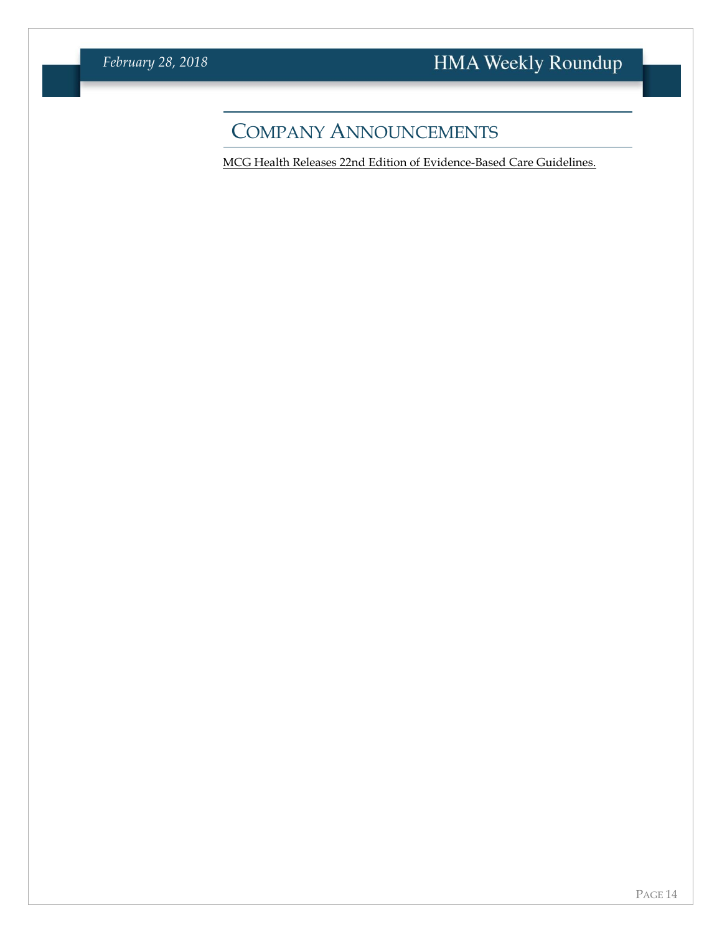# COMPANY ANNOUNCEMENTS

[MCG Health Releases 22nd Edition of Evidence-Based Care Guidelines.](https://www.mcg.com/wp-content/uploads/2018/02/MCG-Press-Release-22nd-Edition-General-Availability.pdf)